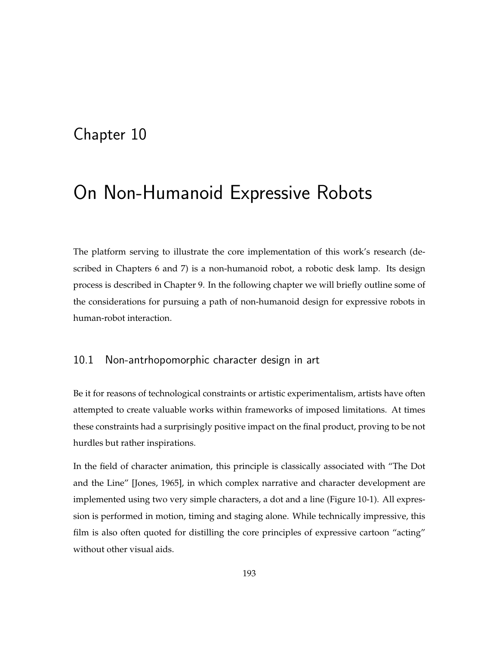## Chapter 10

# On Non-Humanoid Expressive Robots

The platform serving to illustrate the core implementation of this work's research (described in Chapters 6 and 7) is a non-humanoid robot, a robotic desk lamp. Its design process is described in Chapter 9. In the following chapter we will briefly outline some of the considerations for pursuing a path of non-humanoid design for expressive robots in human-robot interaction.

### 10.1 Non-antrhopomorphic character design in art

Be it for reasons of technological constraints or artistic experimentalism, artists have often attempted to create valuable works within frameworks of imposed limitations. At times these constraints had a surprisingly positive impact on the final product, proving to be not hurdles but rather inspirations.

In the field of character animation, this principle is classically associated with "The Dot and the Line" [Jones, 1965], in which complex narrative and character development are implemented using two very simple characters, a dot and a line (Figure 10-1). All expression is performed in motion, timing and staging alone. While technically impressive, this film is also often quoted for distilling the core principles of expressive cartoon "acting" without other visual aids.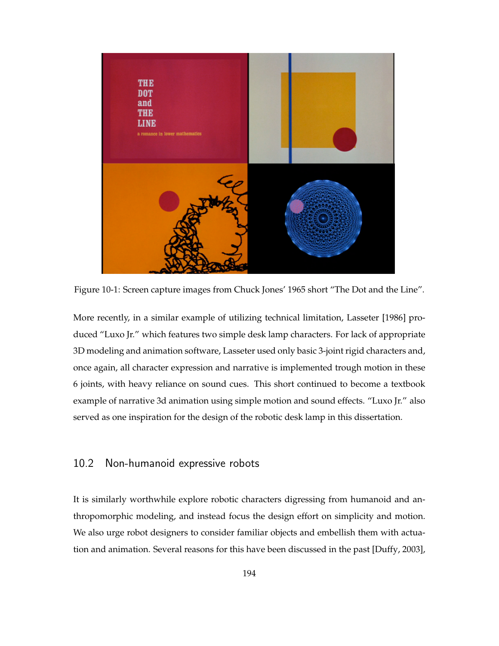

Figure 10-1: Screen capture images from Chuck Jones' 1965 short "The Dot and the Line".

More recently, in a similar example of utilizing technical limitation, Lasseter [1986] produced "Luxo Jr." which features two simple desk lamp characters. For lack of appropriate 3D modeling and animation software, Lasseter used only basic 3-joint rigid characters and, once again, all character expression and narrative is implemented trough motion in these 6 joints, with heavy reliance on sound cues. This short continued to become a textbook example of narrative 3d animation using simple motion and sound effects. "Luxo Jr." also served as one inspiration for the design of the robotic desk lamp in this dissertation.

## 10.2 Non-humanoid expressive robots

It is similarly worthwhile explore robotic characters digressing from humanoid and anthropomorphic modeling, and instead focus the design effort on simplicity and motion. We also urge robot designers to consider familiar objects and embellish them with actuation and animation. Several reasons for this have been discussed in the past [Duffy, 2003],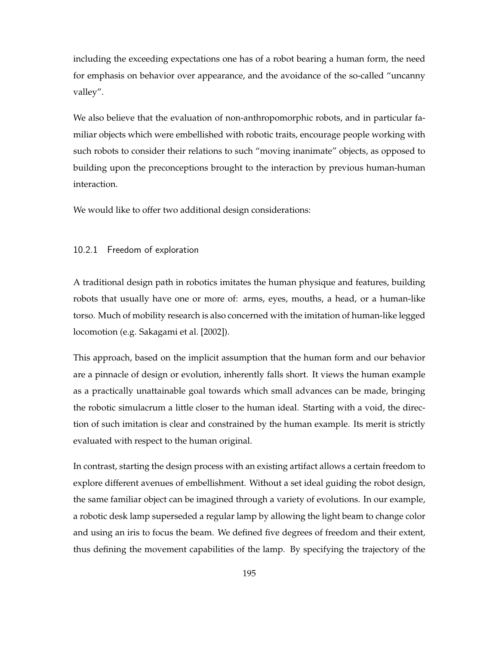including the exceeding expectations one has of a robot bearing a human form, the need for emphasis on behavior over appearance, and the avoidance of the so-called "uncanny valley".

We also believe that the evaluation of non-anthropomorphic robots, and in particular familiar objects which were embellished with robotic traits, encourage people working with such robots to consider their relations to such "moving inanimate" objects, as opposed to building upon the preconceptions brought to the interaction by previous human-human interaction.

We would like to offer two additional design considerations:

#### 10.2.1 Freedom of exploration

A traditional design path in robotics imitates the human physique and features, building robots that usually have one or more of: arms, eyes, mouths, a head, or a human-like torso. Much of mobility research is also concerned with the imitation of human-like legged locomotion (e.g. Sakagami et al. [2002]).

This approach, based on the implicit assumption that the human form and our behavior are a pinnacle of design or evolution, inherently falls short. It views the human example as a practically unattainable goal towards which small advances can be made, bringing the robotic simulacrum a little closer to the human ideal. Starting with a void, the direction of such imitation is clear and constrained by the human example. Its merit is strictly evaluated with respect to the human original.

In contrast, starting the design process with an existing artifact allows a certain freedom to explore different avenues of embellishment. Without a set ideal guiding the robot design, the same familiar object can be imagined through a variety of evolutions. In our example, a robotic desk lamp superseded a regular lamp by allowing the light beam to change color and using an iris to focus the beam. We defined five degrees of freedom and their extent, thus defining the movement capabilities of the lamp. By specifying the trajectory of the